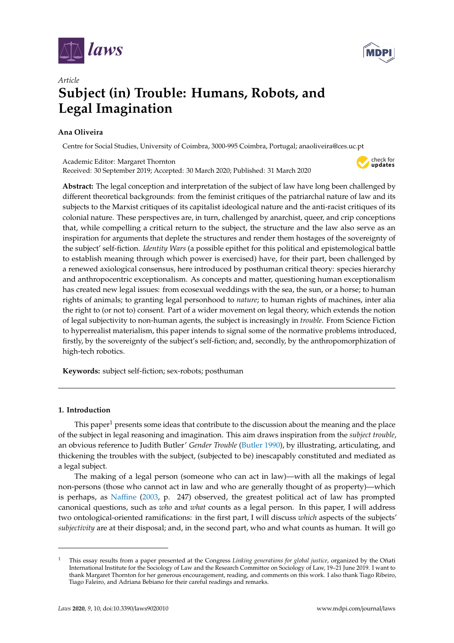



# *Article* **Subject (in) Trouble: Humans, Robots, and Legal Imagination**

# **Ana Oliveira**

Centre for Social Studies, University of Coimbra, 3000-995 Coimbra, Portugal; anaoliveira@ces.uc.pt

Academic Editor: Margaret Thornton Received: 30 September 2019; Accepted: 30 March 2020; Published: 31 March 2020



**Abstract:** The legal conception and interpretation of the subject of law have long been challenged by different theoretical backgrounds: from the feminist critiques of the patriarchal nature of law and its subjects to the Marxist critiques of its capitalist ideological nature and the anti-racist critiques of its colonial nature. These perspectives are, in turn, challenged by anarchist, queer, and crip conceptions that, while compelling a critical return to the subject, the structure and the law also serve as an inspiration for arguments that deplete the structures and render them hostages of the sovereignty of the subject' self-fiction. *Identity Wars* (a possible epithet for this political and epistemological battle to establish meaning through which power is exercised) have, for their part, been challenged by a renewed axiological consensus, here introduced by posthuman critical theory: species hierarchy and anthropocentric exceptionalism. As concepts and matter, questioning human exceptionalism has created new legal issues: from ecosexual weddings with the sea, the sun, or a horse; to human rights of animals; to granting legal personhood to *nature*; to human rights of machines, inter alia the right to (or not to) consent. Part of a wider movement on legal theory, which extends the notion of legal subjectivity to non-human agents, the subject is increasingly in *trouble*. From Science Fiction to hyperrealist materialism, this paper intends to signal some of the normative problems introduced, firstly, by the sovereignty of the subject's self-fiction; and, secondly, by the anthropomorphization of high-tech robotics.

**Keywords:** subject self-fiction; sex-robots; posthuman

## **1. Introduction**

This paper<sup>1</sup> presents some ideas that contribute to the discussion about the meaning and the place of the subject in legal reasoning and imagination. This aim draws inspiration from the *subject trouble*, an obvious reference to Judith Butler' *Gender Trouble* [\(Butler](#page-14-0) [1990\)](#page-14-0), by illustrating, articulating, and thickening the troubles with the subject, (subjected to be) inescapably constituted and mediated as a legal subject.

The making of a legal person (someone who can act in law)—with all the makings of legal non-persons (those who cannot act in law and who are generally thought of as property)—which is perhaps, as [Na](#page-15-0)ffine [\(2003,](#page-15-0) p. 247) observed, the greatest political act of law has prompted canonical questions, such as *who* and *what* counts as a legal person. In this paper, I will address two ontological-oriented ramifications: in the first part, I will discuss *which* aspects of the subjects' *subjectivity* are at their disposal; and, in the second part, who and what counts as human. It will go

<sup>1</sup> This essay results from a paper presented at the Congress *Linking generations for global justice*, organized by the Oñati International Institute for the Sociology of Law and the Research Committee on Sociology of Law, 19–21 June 2019. I want to thank Margaret Thornton for her generous encouragement, reading, and comments on this work. I also thank Tiago Ribeiro, Tiago Faleiro, and Adriana Bebiano for their careful readings and remarks.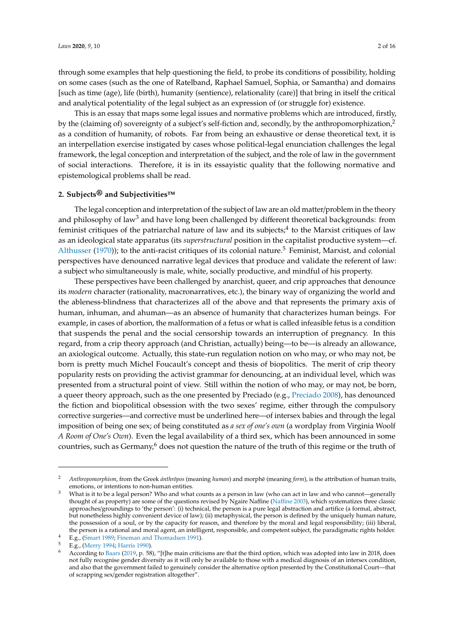through some examples that help questioning the field, to probe its conditions of possibility, holding on some cases (such as the one of Ratelband, Raphael Samuel, Sophia, or Samantha) and domains [such as time (age), life (birth), humanity (sentience), relationality (care)] that bring in itself the critical and analytical potentiality of the legal subject as an expression of (or struggle for) existence.

This is an essay that maps some legal issues and normative problems which are introduced, firstly, by the (claiming of) sovereignty of a subject's self-fiction and, secondly, by the anthropomorphization,<sup>2</sup> as a condition of humanity, of robots. Far from being an exhaustive or dense theoretical text, it is an interpellation exercise instigated by cases whose political-legal enunciation challenges the legal framework, the legal conception and interpretation of the subject, and the role of law in the government of social interactions. Therefore, it is in its essayistic quality that the following normative and epistemological problems shall be read.

# **2. Subjects**® **and Subjectivities**™

The legal conception and interpretation of the subject of law are an old matter/problem in the theory and philosophy of law<sup>3</sup> and have long been challenged by different theoretical backgrounds: from feminist critiques of the patriarchal nature of law and its subjects;<sup>4</sup> to the Marxist critiques of law as an ideological state apparatus (its *superstructural* position in the capitalist productive system—cf. [Althusser](#page-14-1) [\(1970\)](#page-14-1)); to the anti-racist critiques of its colonial nature.<sup>5</sup> Feminist, Marxist, and colonial perspectives have denounced narrative legal devices that produce and validate the referent of law: a subject who simultaneously is male, white, socially productive, and mindful of his property.

These perspectives have been challenged by anarchist, queer, and crip approaches that denounce its *modern* character (rationality, macronarratives, etc.), the binary way of organizing the world and the ableness-blindness that characterizes all of the above and that represents the primary axis of human, inhuman, and ahuman—as an absence of humanity that characterizes human beings. For example, in cases of abortion, the malformation of a fetus or what is called infeasible fetus is a condition that suspends the penal and the social censorship towards an interruption of pregnancy. In this regard, from a crip theory approach (and Christian, actually) being—to be—is already an allowance, an axiological outcome. Actually, this state-run regulation notion on who may, or who may not, be born is pretty much Michel Foucault's concept and thesis of biopolitics. The merit of crip theory popularity rests on providing the activist grammar for denouncing, at an individual level, which was presented from a structural point of view. Still within the notion of who may, or may not, be born, a queer theory approach, such as the one presented by Preciado (e.g., [Preciado](#page-15-1) [2008\)](#page-15-1), has denounced the fiction and biopolitical obsession with the two sexes' regime, either through the compulsory corrective surgeries—and corrective must be underlined here—of intersex babies and through the legal imposition of being one sex; of being constituted as *a sex of one's own* (a wordplay from Virginia Woolf *A Room of One's Own*). Even the legal availability of a third sex, which has been announced in some countries, such as Germany, $6$  does not question the nature of the truth of this regime or the truth of

*Anthropomorphism*, from the Greek *ánthrōpos* (meaning *human*) and morphē (meaning *form*), is the attribution of human traits, emotions, or intentions to non-human entities.

What is it to be a legal person? Who and what counts as a person in law (who can act in law and who cannot—generally thought of as property) are some of the questions revised by Ngaire Naffine [\(Na](#page-15-0)ffine [2003\)](#page-15-0), which systematizes three classic approaches/groundings to 'the person': (i) technical, the person is a pure legal abstraction and artifice (a formal, abstract, but nonetheless highly convenient device of law); (ii) metaphysical, the person is defined by the uniquely human nature, the possession of a soul, or by the capacity for reason, and therefore by the moral and legal responsibility; (iii) liberal, the person is a rational and moral agent, an intelligent, responsible, and competent subject, the paradigmatic rights holder.

E.g., [\(Smart](#page-15-2) [1989;](#page-15-2) [Fineman and Thomadsen](#page-14-2) [1991\)](#page-14-2).

<sup>5</sup> E.g., [\(Merry](#page-15-3) [1994;](#page-15-3) [Harris](#page-14-3) [1990\)](#page-14-3).

<sup>6</sup> According to [Baars](#page-14-4) [\(2019,](#page-14-4) p. 58), "[t]he main criticisms are that the third option, which was adopted into law in 2018, does not fully recognise gender diversity as it will only be available to those with a medical diagnosis of an intersex condition, and also that the government failed to genuinely consider the alternative option presented by the Constitutional Court—that of scrapping sex/gender registration altogether".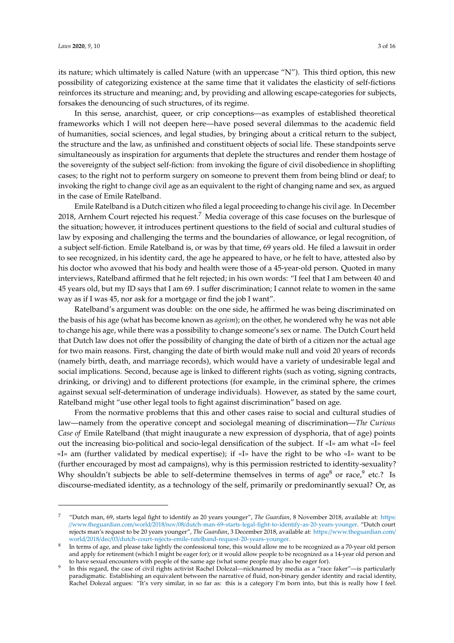its nature; which ultimately is called Nature (with an uppercase " $N$ "). This third option, this new possibility of categorizing existence at the same time that it validates the elasticity of self-fictions reinforces its structure and meaning; and, by providing and allowing escape-categories for subjects, forsakes the denouncing of such structures, of its regime.

In this sense, anarchist, queer, or crip conceptions—as examples of established theoretical frameworks which I will not deepen here—have posed several dilemmas to the academic field of humanities, social sciences, and legal studies, by bringing about a critical return to the subject, the structure and the law, as unfinished and constituent objects of social life. These standpoints serve simultaneously as inspiration for arguments that deplete the structures and render them hostage of the sovereignty of the subject self-fiction: from invoking the figure of civil disobedience in shoplifting cases; to the right not to perform surgery on someone to prevent them from being blind or deaf; to invoking the right to change civil age as an equivalent to the right of changing name and sex, as argued in the case of Emile Ratelband.

Emile Ratelband is a Dutch citizen who filed a legal proceeding to change his civil age. In December 2018, Arnhem Court rejected his request.<sup>7</sup> Media coverage of this case focuses on the burlesque of the situation; however, it introduces pertinent questions to the field of social and cultural studies of law by exposing and challenging the terms and the boundaries of allowance, or legal recognition, of a subject self-fiction. Emile Ratelband is, or was by that time, 69 years old. He filed a lawsuit in order to see recognized, in his identity card, the age he appeared to have, or he felt to have, attested also by his doctor who avowed that his body and health were those of a 45-year-old person. Quoted in many interviews, Ratelband affirmed that he felt rejected; in his own words: "I feel that I am between 40 and 45 years old, but my ID says that I am 69. I suffer discrimination; I cannot relate to women in the same way as if I was 45, nor ask for a mortgage or find the job I want".

Ratelband's argument was double: on the one side, he affirmed he was being discriminated on the basis of his age (what has become known as *ageism*); on the other, he wondered why he was not able to change his age, while there was a possibility to change someone's sex or name. The Dutch Court held that Dutch law does not offer the possibility of changing the date of birth of a citizen nor the actual age for two main reasons. First, changing the date of birth would make null and void 20 years of records (namely birth, death, and marriage records), which would have a variety of undesirable legal and social implications. Second, because age is linked to different rights (such as voting, signing contracts, drinking, or driving) and to different protections (for example, in the criminal sphere, the crimes against sexual self-determination of underage individuals). However, as stated by the same court, Ratelband might "use other legal tools to fight against discrimination" based on age.

From the normative problems that this and other cases raise to social and cultural studies of law—namely from the operative concept and sociolegal meaning of discrimination—*The Curious Case of* Emile Ratelband (that might inaugurate a new expression of dysphoria, that of age) points out the increasing bio-political and socio-legal densification of the subject. If «I» am what «I» feel «I» am (further validated by medical expertise); if «I» have the right to be who «I» want to be (further encouraged by most ad campaigns), why is this permission restricted to identity-sexuality? Why shouldn't subjects be able to self-determine themselves in terms of age $^8$  or race, $^9$  etc.? Is discourse-mediated identity, as a technology of the self, primarily or predominantly sexual? Or, as

<sup>7</sup> "Dutch man, 69, starts legal fight to identify as 20 years younger", *The Guardian*, 8 November 2018, available at: [https:](https://www.theguardian.com/world/2018/nov/08/dutch-man-69-starts-legal-fight-to-identify-as-20-years-younger) //www.theguardian.com/world/2018/nov/08/[dutch-man-69-starts-legal-fight-to-identify-as-20-years-younger.](https://www.theguardian.com/world/2018/nov/08/dutch-man-69-starts-legal-fight-to-identify-as-20-years-younger) "Dutch court rejects man's request to be 20 years younger", *The Guardian*, 3 December 2018, available at: https://[www.theguardian.com](https://www.theguardian.com/world/2018/dec/03/dutch-court-rejects-emile-ratelband-request-20-years-younger)/ world/2018/dec/03/[dutch-court-rejects-emile-ratelband-request-20-years-younger.](https://www.theguardian.com/world/2018/dec/03/dutch-court-rejects-emile-ratelband-request-20-years-younger)

<sup>8</sup> In terms of age, and please take lightly the confessional tone, this would allow me to be recognized as a 70-year old person and apply for retirement (which I might be eager for); or it would allow people to be recognized as a 14-year old person and to have sexual encounters with people of the same age (what some people may also be eager for).

<sup>9</sup> In this regard, the case of civil rights activist Rachel Dolezal—nicknamed by media as a "race faker"—is particularly paradigmatic. Establishing an equivalent between the narrative of fluid, non-binary gender identity and racial identity, Rachel Dolezal argues: "It's very similar, in so far as: this is a category I'm born into, but this is really how I feel.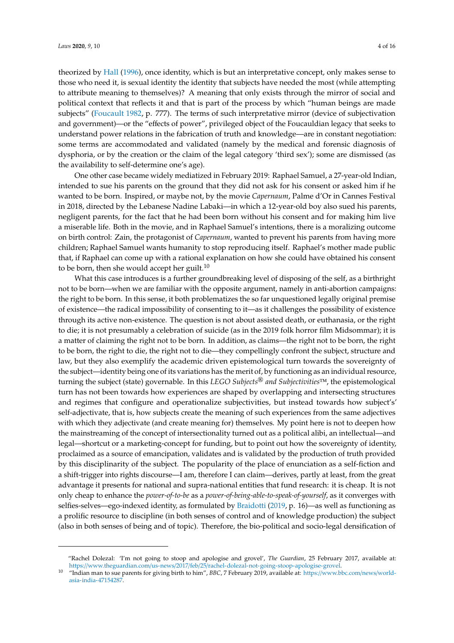theorized by [Hall](#page-14-5) [\(1996\)](#page-14-5), once identity, which is but an interpretative concept, only makes sense to those who need it, is sexual identity the identity that subjects have needed the most (while attempting to attribute meaning to themselves)? A meaning that only exists through the mirror of social and political context that reflects it and that is part of the process by which "human beings are made subjects" [\(Foucault](#page-14-6) [1982,](#page-14-6) p. 777). The terms of such interpretative mirror (device of subjectivation and government)—or the "effects of power", privileged object of the Foucauldian legacy that seeks to

understand power relations in the fabrication of truth and knowledge—are in constant negotiation: some terms are accommodated and validated (namely by the medical and forensic diagnosis of dysphoria, or by the creation or the claim of the legal category 'third sex'); some are dismissed (as the availability to self-determine one's age).

One other case became widely mediatized in February 2019: Raphael Samuel, a 27-year-old Indian, intended to sue his parents on the ground that they did not ask for his consent or asked him if he wanted to be born. Inspired, or maybe not, by the movie *Capernaum*, Palme d'Or in Cannes Festival in 2018, directed by the Lebanese Nadine Labaki—in which a 12-year-old boy also sued his parents, negligent parents, for the fact that he had been born without his consent and for making him live a miserable life. Both in the movie, and in Raphael Samuel's intentions, there is a moralizing outcome on birth control: Zain, the protagonist of *Capernaum*, wanted to prevent his parents from having more children; Raphael Samuel wants humanity to stop reproducing itself. Raphael's mother made public that, if Raphael can come up with a rational explanation on how she could have obtained his consent to be born, then she would accept her guilt. $10$ 

What this case introduces is a further groundbreaking level of disposing of the self, as a birthright not to be born—when we are familiar with the opposite argument, namely in anti-abortion campaigns: the right to be born. In this sense, it both problematizes the so far unquestioned legally original premise of existence—the radical impossibility of consenting to it—as it challenges the possibility of existence through its active non-existence. The question is not about assisted death, or euthanasia, or the right to die; it is not presumably a celebration of suicide (as in the 2019 folk horror film Midsommar); it is a matter of claiming the right not to be born. In addition, as claims—the right not to be born, the right to be born, the right to die, the right not to die—they compellingly confront the subject, structure and law, but they also exemplify the academic driven epistemological turn towards the sovereignty of the subject—identity being one of its variations has the merit of, by functioning as an individual resource, turning the subject (state) governable. In this *LEGO Subjects*® *and Subjectivities*™, the epistemological turn has not been towards how experiences are shaped by overlapping and intersecting structures and regimes that configure and operationalize subjectivities, but instead towards how subject's' self-adjectivate, that is, how subjects create the meaning of such experiences from the same adjectives with which they adjectivate (and create meaning for) themselves. My point here is not to deepen how the mainstreaming of the concept of intersectionality turned out as a political alibi, an intellectual—and legal—shortcut or a marketing-concept for funding, but to point out how the sovereignty of identity, proclaimed as a source of emancipation, validates and is validated by the production of truth provided by this disciplinarity of the subject. The popularity of the place of enunciation as a self-fiction and a shift-trigger into rights discourse—I am, therefore I can claim—derives, partly at least, from the great advantage it presents for national and supra-national entities that fund research: it is cheap. It is not only cheap to enhance the *power-of-to-be* as a *power-of-being-able-to-speak-of-yourself*, as it converges with selfies-selves—ego-indexed identity, as formulated by [Braidotti](#page-14-7) [\(2019,](#page-14-7) p. 16)—as well as functioning as a prolific resource to discipline (in both senses of control and of knowledge production) the subject (also in both senses of being and of topic). Therefore, the bio-political and socio-legal densification of

<sup>&</sup>quot;Rachel Dolezal: 'I'm not going to stoop and apologise and grovel', *The Guardian*, 25 February 2017, available at: https://www.theguardian.com/us-news/2017/feb/25/[rachel-dolezal-not-going-stoop-apologise-grovel.](https://www.theguardian.com/us-news/2017/feb/25/rachel-dolezal-not-going-stoop-apologise-grovel)

<sup>10</sup> "Indian man to sue parents for giving birth to him", *BBC*, 7 February 2019, available at: https://[www.bbc.com](https://www.bbc.com/news/world-asia-india-47154287)/news/world[asia-india-47154287.](https://www.bbc.com/news/world-asia-india-47154287)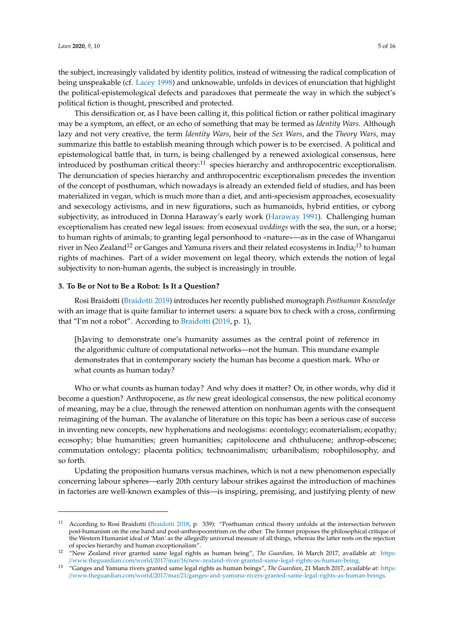the subject, increasingly validated by identity politics, instead of witnessing the radical complication of being unspeakable (cf. [Lacey](#page-14-8) [1998\)](#page-14-8) and unknowable, unfolds in devices of enunciation that highlight the political-epistemological defects and paradoxes that permeate the way in which the subject's political fiction is thought, prescribed and protected.

This densification or, as I have been calling it, this political fiction or rather political imaginary may be a symptom, an effect, or an echo of something that may be termed as *Identity Wars*. Although lazy and not very creative, the term *Identity Wars*, heir of the *Sex Wars*, and the *Theory Wars*, may summarize this battle to establish meaning through which power is to be exercised. A political and epistemological battle that, in turn, is being challenged by a renewed axiological consensus, here introduced by posthuman critical theory: $11$  species hierarchy and anthropocentric exceptionalism. The denunciation of species hierarchy and anthropocentric exceptionalism precedes the invention of the concept of posthuman, which nowadays is already an extended field of studies, and has been materialized in vegan, which is much more than a diet, and anti-speciesism approaches, ecosexuality and sexecology activisms, and in new figurations, such as humanoids, hybrid entities, or cyborg subjectivity, as introduced in Donna Haraway's early work [\(Haraway](#page-14-9) [1991\)](#page-14-9). Challenging human exceptionalism has created new legal issues: from ecosexual *weddings* with the sea, the sun, or a horse; to human rights of animals; to granting legal personhood to «nature»—as in the case of Whanganui river in Neo Zealand<sup>12</sup> or Ganges and Yamuna rivers and their related ecosystems in India;<sup>13</sup> to human rights of machines. Part of a wider movement on legal theory, which extends the notion of legal subjectivity to non-human agents, the subject is increasingly in trouble.

## **3. To Be or Not to Be a Robot: Is It a Question?**

Rosi Braidotti [\(Braidotti](#page-14-7) [2019\)](#page-14-7) introduces her recently published monograph *Posthuman Knowledge* with an image that is quite familiar to internet users: a square box to check with a cross, confirming that "I'm not a robot". According to [Braidotti](#page-14-7) [\(2019,](#page-14-7) p. 1),

[h]aving to demonstrate one's humanity assumes as the central point of reference in the algorithmic culture of computational networks—not the human. This mundane example demonstrates that in contemporary society the human has become a question mark. Who or what counts as human today?

Who or what counts as human today? And why does it matter? Or, in other words, why did it become a question? Anthropocene, as *the* new great ideological consensus, the new political economy of meaning, may be a clue, through the renewed attention on nonhuman agents with the consequent reimagining of the human. The avalanche of literature on this topic has been a serious case of success in inventing new concepts, new hyphenations and neologisms: econtology; ecomaterialism; ecopathy; ecosophy; blue humanities; green humanities; capitolocene and chthulucene; anthrop-obscene; commutation ontology; placenta politics; technoanimalism; urbanibalism; robophilosophy, and so forth.

Updating the proposition humans versus machines, which is not a new phenomenon especially concerning labour spheres—early 20th century labour strikes against the introduction of machines in factories are well-known examples of this—is inspiring, premising, and justifying plenty of new

 $11$  According to Rosi Braidotti [\(Braidotti](#page-14-10) [2018,](#page-14-10) p. 339): "Posthuman critical theory unfolds at the intersection between post-humanism on the one hand and post-anthropocentrism on the other. The former proposes the philosophical critique of the Western Humanist ideal of 'Man' as the allegedly universal measure of all things, whereas the latter rests on the rejection of species hierarchy and human exceptionalism".

<sup>12</sup> "New Zealand river granted same legal rights as human being", *The Guardian*, 16 March 2017, available at: [https:](https://www.theguardian.com/world/2017/mar/16/new-zealand-river-granted-same-legal-rights-as-human-being) //www.theguardian.com/world/2017/mar/16/[new-zealand-river-granted-same-legal-rights-as-human-being.](https://www.theguardian.com/world/2017/mar/16/new-zealand-river-granted-same-legal-rights-as-human-being)

<sup>13</sup> "Ganges and Yamuna rivers granted same legal rights as human beings", *The Guardian*, 21 March 2017, available at: [https:](https://www.theguardian.com/world/2017/mar/21/ganges-and-yamuna-rivers-granted-same-legal-rights-as-human-beings) //www.theguardian.com/world/2017/mar/21/[ganges-and-yamuna-rivers-granted-same-legal-rights-as-human-beings.](https://www.theguardian.com/world/2017/mar/21/ganges-and-yamuna-rivers-granted-same-legal-rights-as-human-beings)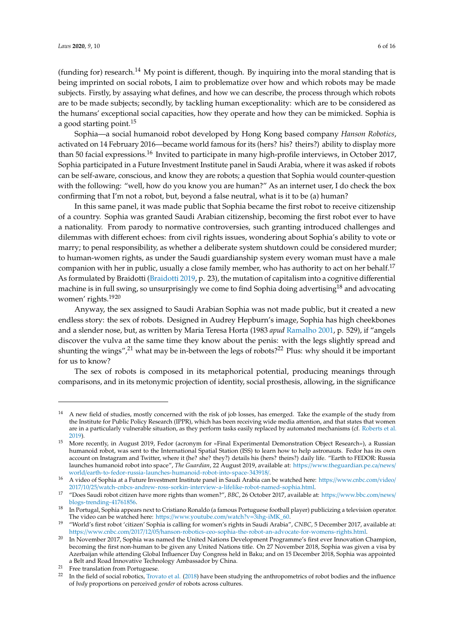(funding for) research.<sup>14</sup> My point is different, though. By inquiring into the moral standing that is being imprinted on social robots, I aim to problematize over how and which robots may be made subjects. Firstly, by assaying what defines, and how we can describe, the process through which robots are to be made subjects; secondly, by tackling human exceptionality: which are to be considered as the humans' exceptional social capacities, how they operate and how they can be mimicked. Sophia is a good starting point.<sup>15</sup>

Sophia—a social humanoid robot developed by Hong Kong based company *Hanson Robotics*, activated on 14 February 2016—became world famous for its (hers? his? theirs?) ability to display more than 50 facial expressions.<sup>16</sup> Invited to participate in many high-profile interviews, in October 2017, Sophia participated in a Future Investment Institute panel in Saudi Arabia, where it was asked if robots can be self-aware, conscious, and know they are robots; a question that Sophia would counter-question with the following: "well, how do you know you are human?" As an internet user, I do check the box confirming that I'm not a robot, but, beyond a false neutral, what is it to be (a) human?

In this same panel, it was made public that Sophia became the first robot to receive citizenship of a country. Sophia was granted Saudi Arabian citizenship, becoming the first robot ever to have a nationality. From parody to normative controversies, such granting introduced challenges and dilemmas with different echoes: from civil rights issues, wondering about Sophia's ability to vote or marry; to penal responsibility, as whether a deliberate system shutdown could be considered murder; to human-women rights, as under the Saudi guardianship system every woman must have a male companion with her in public, usually a close family member, who has authority to act on her behalf.<sup>17</sup> As formulated by Braidotti [\(Braidotti](#page-14-7) [2019,](#page-14-7) p. 23), the mutation of capitalism into a cognitive differential machine is in full swing, so unsurprisingly we come to find Sophia doing advertising<sup>18</sup> and advocating women' rights.<sup>1920</sup>

Anyway, the sex assigned to Saudi Arabian Sophia was not made public, but it created a new endless story: the sex of robots. Designed in Audrey Hepburn's image, Sophia has high cheekbones and a slender nose, but, as written by Maria Teresa Horta (1983 *apud* [Ramalho](#page-15-4) [2001,](#page-15-4) p. 529), if "angels discover the vulva at the same time they know about the penis: with the legs slightly spread and shunting the wings",  $^{21}$  what may be in-between the legs of robots?<sup>22</sup> Plus: why should it be important for us to know?

The sex of robots is composed in its metaphorical potential, producing meanings through comparisons, and in its metonymic projection of identity, social prosthesis, allowing, in the significance

<sup>&</sup>lt;sup>14</sup> A new field of studies, mostly concerned with the risk of job losses, has emerged. Take the example of the study from the Institute for Public Policy Research (IPPR), which has been receiving wide media attention, and that states that women are in a particularly vulnerable situation, as they perform tasks easily replaced by automated mechanisms (cf. [Roberts et al.](#page-15-5) [2019\)](#page-15-5).

<sup>15</sup> More recently, in August 2019, Fedor (acronym for «Final Experimental Demonstration Object Research»), a Russian humanoid robot, was sent to the International Spatial Station (ISS) to learn how to help astronauts. Fedor has its own account on Instagram and Twitter, where it (he? she? they?) details his (hers? theirs?) daily life. "Earth to FEDOR: Russia launches humanoid robot into space", *The Guardian*, 22 August 2019, available at: https://[www.theguardian.pe.ca](https://www.theguardian.pe.ca/news/world/earth-to-fedor-russia-launches-humanoid-robot-into-space-343918/)/news/ world/[earth-to-fedor-russia-launches-humanoid-robot-into-space-343918](https://www.theguardian.pe.ca/news/world/earth-to-fedor-russia-launches-humanoid-robot-into-space-343918/)/.

<sup>16</sup> A video of Sophia at a Future Investment Institute panel in Saudi Arabia can be watched here: https://[www.cnbc.com](https://www.cnbc.com/video/2017/10/25/watch-cnbcs-andrew-ross-sorkin-interview-a-lifelike-robot-named-sophia.html)/video/ 2017/10/25/[watch-cnbcs-andrew-ross-sorkin-interview-a-lifelike-robot-named-sophia.html.](https://www.cnbc.com/video/2017/10/25/watch-cnbcs-andrew-ross-sorkin-interview-a-lifelike-robot-named-sophia.html)

<sup>17</sup> "Does Saudi robot citizen have more rights than women?", *BBC*, 26 October 2017, available at: https://[www.bbc.com](https://www.bbc.com/news/blogs-trending-41761856)/news/ [blogs-trending-41761856.](https://www.bbc.com/news/blogs-trending-41761856)

<sup>18</sup> In Portugal, Sophia appears next to Cristiano Ronaldo (a famous Portuguese football player) publicizing a television operator. The video can be watched here: https://[www.youtube.com](https://www.youtube.com/watch?v=3ihg-iMK_60)/watch?v=3ihg-iMK\_60.

<sup>19</sup> "World's first robot 'citizen' Sophia is calling for women's rights in Saudi Arabia", *CNBC*, 5 December 2017, available at: https://www.cnbc.com/2017/12/05/[hanson-robotics-ceo-sophia-the-robot-an-advocate-for-womens-rights.html.](https://www.cnbc.com/2017/12/05/hanson-robotics-ceo-sophia-the-robot-an-advocate-for-womens-rights.html)

<sup>&</sup>lt;sup>20</sup> In November 2017, Sophia was named the United Nations Development Programme's first ever Innovation Champion, becoming the first non-human to be given any United Nations title. On 27 November 2018, Sophia was given a visa by Azerbaijan while attending Global Influencer Day Congress held in Baku; and on 15 December 2018, Sophia was appointed a Belt and Road Innovative Technology Ambassador by China.

<sup>21</sup> Free translation from Portuguese.

 $22$  In the field of social robotics, [Trovato et al.](#page-15-6) [\(2018\)](#page-15-6) have been studying the anthropometrics of robot bodies and the influence of *body* proportions on perceived *gender* of robots across cultures.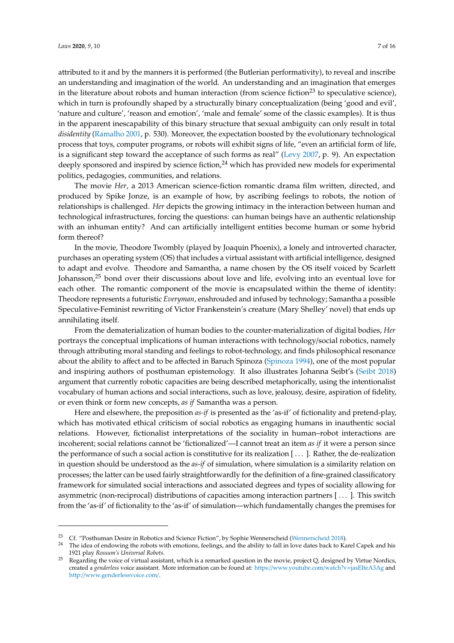attributed to it and by the manners it is performed (the Butlerian performativity), to reveal and inscribe an understanding and imagination of the world. An understanding and an imagination that emerges in the literature about robots and human interaction (from science fiction<sup>23</sup> to speculative science), which in turn is profoundly shaped by a structurally binary conceptualization (being 'good and evil', 'nature and culture', 'reason and emotion', 'male and female' some of the classic examples). It is thus in the apparent inescapability of this binary structure that sexual ambiguity can only result in total *disidentity* [\(Ramalho](#page-15-4) [2001,](#page-15-4) p. 530). Moreover, the expectation boosted by the evolutionary technological process that toys, computer programs, or robots will exhibit signs of life, "even an artificial form of life, is a significant step toward the acceptance of such forms as real" [\(Levy](#page-15-7) [2007,](#page-15-7) p. 9). An expectation deeply sponsored and inspired by science fiction, $24$  which has provided new models for experimental politics, pedagogies, communities, and relations.

The movie *Her*, a 2013 American science-fiction romantic drama film written, directed, and produced by Spike Jonze, is an example of how, by ascribing feelings to robots, the notion of relationships is challenged. *Her* depicts the growing intimacy in the interaction between human and technological infrastructures, forcing the questions: can human beings have an authentic relationship with an inhuman entity? And can artificially intelligent entities become human or some hybrid form thereof?

In the movie, Theodore Twombly (played by Joaquin Phoenix), a lonely and introverted character, purchases an operating system (OS) that includes a virtual assistant with artificial intelligence, designed to adapt and evolve. Theodore and Samantha, a name chosen by the OS itself voiced by Scarlett Johansson,<sup>25</sup> bond over their discussions about love and life, evolving into an eventual love for each other. The romantic component of the movie is encapsulated within the theme of identity: Theodore represents a futuristic *Everyman*, enshrouded and infused by technology; Samantha a possible Speculative-Feminist rewriting of Victor Frankenstein's creature (Mary Shelley' novel) that ends up annihilating itself.

From the dematerialization of human bodies to the counter-materialization of digital bodies, *Her* portrays the conceptual implications of human interactions with technology/social robotics, namely through attributing moral standing and feelings to robot-technology, and finds philosophical resonance about the ability to affect and to be affected in Baruch Spinoza [\(Spinoza](#page-15-8) [1994\)](#page-15-8), one of the most popular and inspiring authors of posthuman epistemology. It also illustrates Johanna Seibt's [\(Seibt](#page-15-9) [2018\)](#page-15-9) argument that currently robotic capacities are being described metaphorically, using the intentionalist vocabulary of human actions and social interactions, such as love, jealousy, desire, aspiration of fidelity, or even think or form new concepts, *as if* Samantha was a person.

Here and elsewhere, the preposition *as-if* is presented as the 'as-if' of fictionality and pretend-play, which has motivated ethical criticism of social robotics as engaging humans in inauthentic social relations. However, fictionalist interpretations of the sociality in human–robot interactions are incoherent; social relations cannot be 'fictionalized'—I cannot treat an item *as if* it were a person since the performance of such a social action is constitutive for its realization [ . . . ]. Rather, the de-realization in question should be understood as the *as-if* of simulation, where simulation is a similarity relation on processes; the latter can be used fairly straightforwardly for the definition of a fine-grained classificatory framework for simulated social interactions and associated degrees and types of sociality allowing for asymmetric (non-reciprocal) distributions of capacities among interaction partners [ . . . ]. This switch from the 'as-if' of fictionality to the 'as-if' of simulation—which fundamentally changes the premises for

<sup>&</sup>lt;sup>23</sup> Cf. "Posthuman Desire in Robotics and Science Fiction", by Sophie Wennerscheid [\(Wennerscheid](#page-15-10) [2018\)](#page-15-10).

 $24$  The idea of endowing the robots with emotions, feelings, and the ability to fall in love dates back to Karel Capek and his 1921 play *Rossum's Universal Robots*.

 $25$  Regarding the voice of virtual assistant, which is a remarked question in the movie, project Q, designed by Virtue Nordics, created a *genderless* voice assistant. More information can be found at: https://[www.youtube.com](https://www.youtube.com/watch?v=jasEIteA3Ag)/watch?v=jasEIteA3Ag and http://[www.genderlessvoice.com](http://www.genderlessvoice.com/)/.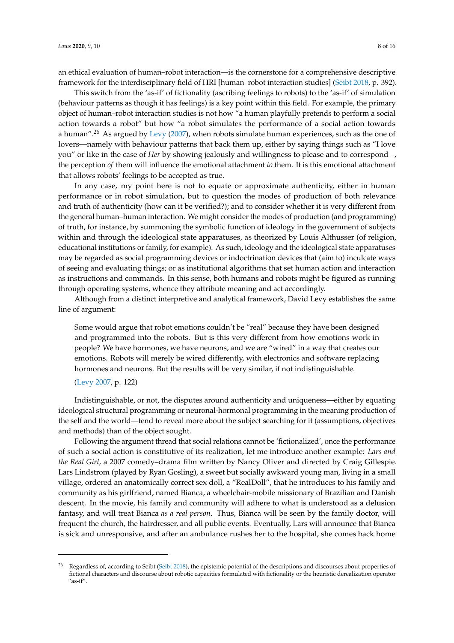an ethical evaluation of human–robot interaction—is the cornerstone for a comprehensive descriptive framework for the interdisciplinary field of HRI [human–robot interaction studies] [\(Seibt](#page-15-9) [2018,](#page-15-9) p. 392).

This switch from the 'as-if' of fictionality (ascribing feelings to robots) to the 'as-if' of simulation (behaviour patterns as though it has feelings) is a key point within this field. For example, the primary object of human–robot interaction studies is not how "a human playfully pretends to perform a social action towards a robot" but how "a robot simulates the performance of a social action towards a human".<sup>26</sup> As argued by [Levy](#page-15-7) [\(2007\)](#page-15-7), when robots simulate human experiences, such as the one of lovers—namely with behaviour patterns that back them up, either by saying things such as "I love you" or like in the case of *Her* by showing jealously and willingness to please and to correspond –, the perception *of* them will influence the emotional attachment *to* them. It is this emotional attachment that allows robots' feelings to be accepted as true.

In any case, my point here is not to equate or approximate authenticity, either in human performance or in robot simulation, but to question the modes of production of both relevance and truth of authenticity (how can it be verified?); and to consider whether it is very different from the general human–human interaction. We might consider the modes of production (and programming) of truth, for instance, by summoning the symbolic function of ideology in the government of subjects within and through the ideological state apparatuses, as theorized by Louis Althusser (of religion, educational institutions or family, for example). As such, ideology and the ideological state apparatuses may be regarded as social programming devices or indoctrination devices that (aim to) inculcate ways of seeing and evaluating things; or as institutional algorithms that set human action and interaction as instructions and commands. In this sense, both humans and robots might be figured as running through operating systems, whence they attribute meaning and act accordingly.

Although from a distinct interpretive and analytical framework, David Levy establishes the same line of argument:

Some would argue that robot emotions couldn't be "real" because they have been designed and programmed into the robots. But is this very different from how emotions work in people? We have hormones, we have neurons, and we are "wired" in a way that creates our emotions. Robots will merely be wired differently, with electronics and software replacing hormones and neurons. But the results will be very similar, if not indistinguishable.

#### [\(Levy](#page-15-7) [2007,](#page-15-7) p. 122)

Indistinguishable, or not, the disputes around authenticity and uniqueness—either by equating ideological structural programming or neuronal-hormonal programming in the meaning production of the self and the world—tend to reveal more about the subject searching for it (assumptions, objectives and methods) than of the object sought.

Following the argument thread that social relations cannot be 'fictionalized', once the performance of such a social action is constitutive of its realization, let me introduce another example: *Lars and the Real Girl*, a 2007 comedy–drama film written by Nancy Oliver and directed by Craig Gillespie. Lars Lindstrom (played by Ryan Gosling), a sweet but socially awkward young man, living in a small village, ordered an anatomically correct sex doll, a "RealDoll", that he introduces to his family and community as his girlfriend, named Bianca, a wheelchair-mobile missionary of Brazilian and Danish descent. In the movie, his family and community will adhere to what is understood as a delusion fantasy, and will treat Bianca *as a real person*. Thus, Bianca will be seen by the family doctor, will frequent the church, the hairdresser, and all public events. Eventually, Lars will announce that Bianca is sick and unresponsive, and after an ambulance rushes her to the hospital, she comes back home

<sup>26</sup> Regardless of, according to Seibt [\(Seibt](#page-15-9) [2018\)](#page-15-9), the epistemic potential of the descriptions and discourses about properties of fictional characters and discourse about robotic capacities formulated with fictionality or the heuristic derealization operator "as-if".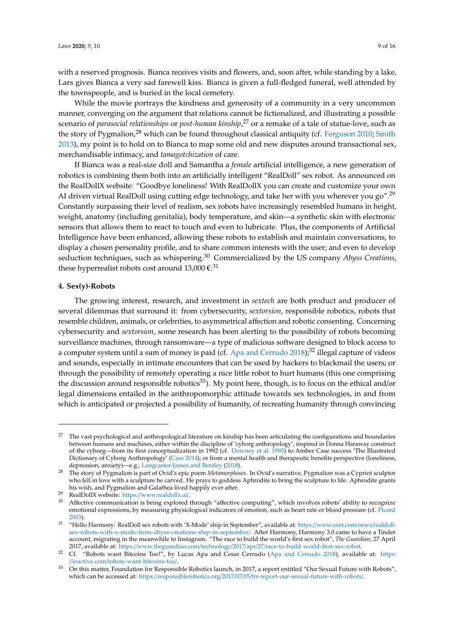with a reserved prognosis. Bianca receives visits and flowers, and, soon after, while standing by a lake, Lars gives Bianca a very sad farewell kiss. Bianca is given a full-fledged funeral, well attended by the townspeople, and is buried in the local cemetery.

While the movie portrays the kindness and generosity of a community in a very uncommon manner, converging on the argument that relations cannot be fictionalized, and illustrating a possible scenario of *parasocial relationships* or *post-human kinship*, <sup>27</sup> or a remake of a tale of statue-love, such as the story of Pygmalion,<sup>28</sup> which can be found throughout classical antiquity (cf. [Ferguson](#page-14-11) [2010;](#page-14-11) [Smith](#page-15-11) [2013\)](#page-15-11), my point is to hold on to Bianca to map some old and new disputes around transactional sex, merchandisable intimacy, and *tamagotchization* of care.

If Bianca was a real-size doll and Samantha a *female* artificial intelligence, a new generation of robotics is combining them both into an artificially intelligent "RealDoll" sex robot. As announced on the RealDollX website: "Goodbye loneliness! With RealDollX you can create and customize your own AI driven virtual RealDoll using cutting edge technology, and take her with you wherever you go".<sup>29</sup> Constantly surpassing their level of realism, sex robots have increasingly resembled humans in height, weight, anatomy (including genitalia), body temperature, and skin—a synthetic skin with electronic sensors that allows them to react to touch and even to lubricate. Plus, the components of Artificial Intelligence have been enhanced, allowing these robots to establish and maintain conversations, to display a chosen personality profile, and to share common interests with the user; and even to develop seduction techniques, such as whispering.<sup>30</sup> Commercialized by the US company *Abyss Creations*, these hyperrealist robots cost around 13,000  $\varepsilon$ .<sup>31</sup>

#### **4. Sex(y)-Robots**

The growing interest, research, and investment in *sextech* are both product and producer of several dilemmas that surround it: from cybersecurity, *sextorsion*, responsible robotics, robots that resemble children, animals, or celebrities, to asymmetrical affection and robotic consenting. Concerning cybersecurity and *sextorsion*, some research has been alerting to the possibility of robots becoming surveillance machines, through ransomware—a type of malicious software designed to block access to a computer system until a sum of money is paid (cf. [Apa and Cerrudo](#page-14-12) [2018\)](#page-14-12);<sup>32</sup> illegal capture of videos and sounds, especially in intimate encounters that can be used by hackers to blackmail the users; or through the possibility of remotely operating a nice little robot to hurt humans (this one comprising the discussion around responsible robotics<sup>33</sup>). My point here, though, is to focus on the ethical and/or legal dimensions entailed in the anthropomorphic attitude towards sex technologies, in and from which is anticipated or projected a possibility of humanity, of recreating humanity through convincing

<sup>27</sup> The vast psychological and anthropological literature on kinship has been articulating the configurations and boundaries between humans and machines, either within the discipline of 'cyborg anthropology', inspired in Donna Haraway construct of the cyborg—from its first conceptualization in 1992 (cf. [Downey et al.](#page-14-13) [1995\)](#page-14-13) to Amber Case success 'The Illustrated Dictionary of Cyborg Anthropology' [\(Case](#page-14-14) [2014\)](#page-14-14); or from a mental health and therapeutic benefits perspective (loneliness, depression, anxiety)—e.g., [Langcaster-James and Bentley](#page-14-15) [\(2018\)](#page-14-15).

<sup>28</sup> The story of Pygmalion is part of Ovid's epic poem *Metamorphoses*. In Ovid's narrative, Pygmalion was a Cypriot sculptor who fell in love with a sculpture he carved. He prays to goddess Aphrodite to bring the sculpture to life. Aphrodite grants his wish, and Pygmalion and Galathea lived happily ever after.

<sup>29</sup> RealDollX website: https://[www.realdollx.ai](https://www.realdollx.ai/)/.

Affective communication is being explored through "affective computing", which involves robots' ability to recognize emotional expressions, by measuring physiological indicators of emotion, such as heart rate or blood pressure (cf. [Picard](#page-15-12) [2003\)](#page-15-12).

<sup>31</sup> "Hello Harmony: RealDoll sex robots with 'X-Mode' ship in September", available at: https://[www.cnet.com](https://www.cnet.com/news/realdoll-sex-robots-with-x-mode-from-abyss-creations-ship-in-september/)/news/realdoll[sex-robots-with-x-mode-from-abyss-creations-ship-in-september](https://www.cnet.com/news/realdoll-sex-robots-with-x-mode-from-abyss-creations-ship-in-september/)/. After Harmony, Harmony 3.0 came to have a Tinder account, migrating in the meanwhile to Instagram. "The race to build the world's first sex robot", *The Guardian*, 27 April 2017, available at: https://www.theguardian.com/technology/2017/apr/27/[race-to-build-world-first-sex-robot.](https://www.theguardian.com/technology/2017/apr/27/race-to-build-world-first-sex-robot)

<sup>32</sup> Cf. "Robots want Bitcoins Too!", by Lucas Apa and Cesar Cerrudo [\(Apa and Cerrudo](#page-14-12) [2018\)](#page-14-12), available at: [https:](https://ioactive.com/robots-want-bitcoins-too/) //ioactive.com/[robots-want-bitcoins-too](https://ioactive.com/robots-want-bitcoins-too/)/.

<sup>33</sup> On this matter, Foundation for Responsible Robotics launch, in 2017, a report entitled "Our Sexual Future with Robots", which can be accessed at: https://responsiblerobotics.org/2017/07/05/[frr-report-our-sexual-future-with-robots](https://responsiblerobotics.org/2017/07/05/frr-report-our-sexual-future-with-robots/)/.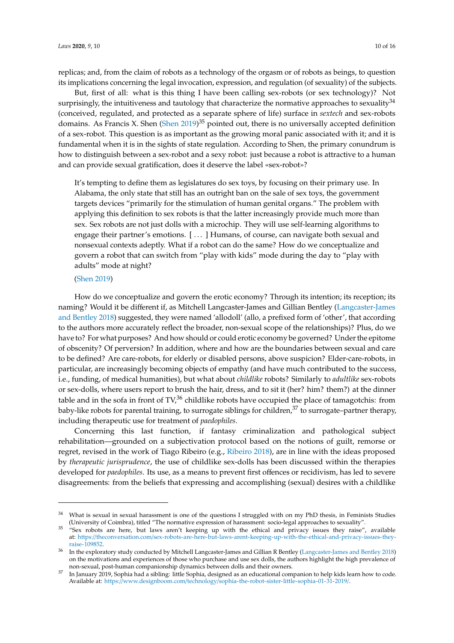replicas; and, from the claim of robots as a technology of the orgasm or of robots as beings, to question its implications concerning the legal invocation, expression, and regulation (of sexuality) of the subjects.

But, first of all: what is this thing I have been calling sex-robots (or sex technology)? Not surprisingly, the intuitiveness and tautology that characterize the normative approaches to sexuality $34$ (conceived, regulated, and protected as a separate sphere of life) surface in *sextech* and sex-robots domains. As Francis X. Shen [\(Shen](#page-15-13) [2019\)](#page-15-13)<sup>35</sup> pointed out, there is no universally accepted definition of a sex-robot. This question is as important as the growing moral panic associated with it; and it is fundamental when it is in the sights of state regulation. According to Shen, the primary conundrum is how to distinguish between a sex-robot and a sexy robot: just because a robot is attractive to a human and can provide sexual gratification, does it deserve the label «sex-robot»?

It's tempting to define them as legislatures do sex toys, by focusing on their primary use. In Alabama, the only state that still has an outright ban on the sale of sex toys, the government targets devices "primarily for the stimulation of human genital organs." The problem with applying this definition to sex robots is that the latter increasingly provide much more than sex. Sex robots are not just dolls with a microchip. They will use self-learning algorithms to engage their partner's emotions. [...] Humans, of course, can navigate both sexual and nonsexual contexts adeptly. What if a robot can do the same? How do we conceptualize and govern a robot that can switch from "play with kids" mode during the day to "play with adults" mode at night?

# [\(Shen](#page-15-13) [2019\)](#page-15-13)

How do we conceptualize and govern the erotic economy? Through its intention; its reception; its naming? Would it be different if, as Mitchell Langcaster-James and Gillian Bentley [\(Langcaster-James](#page-14-15) [and Bentley](#page-14-15) [2018\)](#page-14-15) suggested, they were named 'allodoll' (allo, a prefixed form of 'other', that according to the authors more accurately reflect the broader, non-sexual scope of the relationships)? Plus, do we have to? For what purposes? And how should or could erotic economy be governed? Under the epitome of obscenity? Of perversion? In addition, where and how are the boundaries between sexual and care to be defined? Are care-robots, for elderly or disabled persons, above suspicion? Elder-care-robots, in particular, are increasingly becoming objects of empathy (and have much contributed to the success, i.e., funding, of medical humanities), but what about *childlike* robots? Similarly to *adultlike* sex-robots or sex-dolls, where users report to brush the hair, dress, and to sit it (her? him? them?) at the dinner table and in the sofa in front of  $\rm{TV}^{36}$  childlike robots have occupied the place of tamagotchis: from baby-like robots for parental training, to surrogate siblings for children,<sup>37</sup> to surrogate–partner therapy, including therapeutic use for treatment of *paedophiles*.

Concerning this last function, if fantasy criminalization and pathological subject rehabilitation—grounded on a subjectivation protocol based on the notions of guilt, remorse or regret, revised in the work of Tiago Ribeiro (e.g., [Ribeiro](#page-15-14) [2018\)](#page-15-14), are in line with the ideas proposed by *therapeutic jurisprudence*, the use of childlike sex-dolls has been discussed within the therapies developed for *paedophiles*. Its use, as a means to prevent first offences or recidivism, has led to severe disagreements: from the beliefs that expressing and accomplishing (sexual) desires with a childlike

<sup>&</sup>lt;sup>34</sup> What is sexual in sexual harassment is one of the questions I struggled with on my PhD thesis, in Feminists Studies (University of Coimbra), titled "The normative expression of harassment: socio-legal approaches to sexuality".

<sup>&</sup>lt;sup>35</sup> "Sex robots are here, but laws aren't keeping up with the ethical and privacy issues they raise", available at: https://theconversation.com/[sex-robots-are-here-but-laws-arent-keeping-up-with-the-ethical-and-privacy-issues-they](https://theconversation.com/sex-robots-are-here-but-laws-arent-keeping-up-with-the-ethical-and-privacy-issues-they-raise-109852)[raise-109852.](https://theconversation.com/sex-robots-are-here-but-laws-arent-keeping-up-with-the-ethical-and-privacy-issues-they-raise-109852)

<sup>36</sup> In the exploratory study conducted by Mitchell Langcaster-James and Gillian R Bentley [\(Langcaster-James and Bentley](#page-14-15) [2018\)](#page-14-15) on the motivations and experiences of those who purchase and use sex dolls, the authors highlight the high prevalence of non-sexual, post-human companionship dynamics between dolls and their owners.

<sup>37</sup> In January 2019, Sophia had a sibling: little Sophia, designed as an educational companion to help kids learn how to code. Available at: https://www.designboom.com/technology/[sophia-the-robot-sister-little-sophia-01-31-2019](https://www.designboom.com/technology/sophia-the-robot-sister-little-sophia-01-31-2019/)/.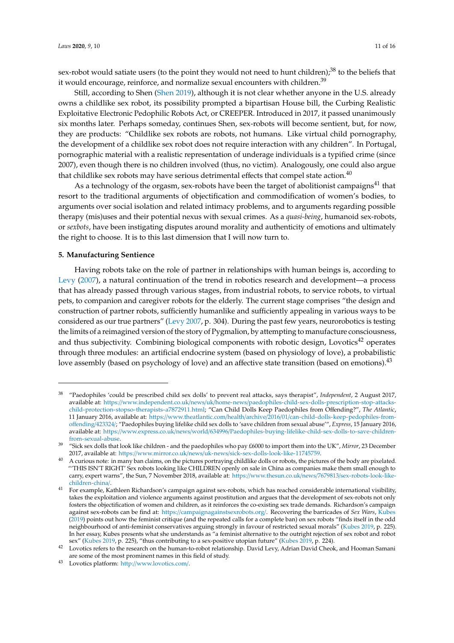sex-robot would satiate users (to the point they would not need to hunt children);<sup>38</sup> to the beliefs that it would encourage, reinforce, and normalize sexual encounters with children.<sup>39</sup>

Still, according to Shen [\(Shen](#page-15-13) [2019\)](#page-15-13), although it is not clear whether anyone in the U.S. already owns a childlike sex robot, its possibility prompted a bipartisan House bill, the Curbing Realistic Exploitative Electronic Pedophilic Robots Act, or CREEPER. Introduced in 2017, it passed unanimously six months later. Perhaps someday, continues Shen, sex-robots will become sentient, but, for now, they are products: "Childlike sex robots are robots, not humans. Like virtual child pornography, the development of a childlike sex robot does not require interaction with any children". In Portugal, pornographic material with a realistic representation of underage individuals is a typified crime (since 2007), even though there is no children involved (thus, no victim). Analogously, one could also argue that childlike sex robots may have serious detrimental effects that compel state action.<sup>40</sup>

As a technology of the orgasm, sex-robots have been the target of abolitionist campaigns<sup>41</sup> that resort to the traditional arguments of objectification and commodification of women's bodies, to arguments over social isolation and related intimacy problems, and to arguments regarding possible therapy (mis)uses and their potential nexus with sexual crimes. As a *quasi-being*, humanoid sex-robots, or *sexbots*, have been instigating disputes around morality and authenticity of emotions and ultimately the right to choose. It is to this last dimension that I will now turn to.

## **5. Manufacturing Sentience**

Having robots take on the role of partner in relationships with human beings is, according to [Levy](#page-15-7) [\(2007\)](#page-15-7), a natural continuation of the trend in robotics research and development—a process that has already passed through various stages, from industrial robots, to service robots, to virtual pets, to companion and caregiver robots for the elderly. The current stage comprises "the design and construction of partner robots, sufficiently humanlike and sufficiently appealing in various ways to be considered as our true partners" [\(Levy](#page-15-7) [2007,](#page-15-7) p. 304). During the past few years, neurorobotics is testing the limits of a reimagined version of the story of Pygmalion, by attempting to manufacture consciousness, and thus subjectivity. Combining biological components with robotic design, Lovotics<sup>42</sup> operates through three modules: an artificial endocrine system (based on physiology of love), a probabilistic love assembly (based on psychology of love) and an affective state transition (based on emotions).<sup>43</sup>

<sup>38</sup> "Paedophiles 'could be prescribed child sex dolls' to prevent real attacks, says therapist", *Independent*, 2 August 2017, available at: https://www.independent.co.uk/news/uk/home-news/[paedophiles-child-sex-dolls-prescription-stop-attacks](https://www.independent.co.uk/news/uk/home-news/paedophiles-child-sex-dolls-prescription-stop-attacks-child-protection-stopso-therapists-a7872911.html)[child-protection-stopso-therapists-a7872911.html;](https://www.independent.co.uk/news/uk/home-news/paedophiles-child-sex-dolls-prescription-stop-attacks-child-protection-stopso-therapists-a7872911.html) "Can Child Dolls Keep Paedophiles from Offending?", *The Atlantic*, 11 January 2016, available at: https://www.theatlantic.com/health/archive/2016/01/[can-child-dolls-keep-pedophiles-from](https://www.theatlantic.com/health/archive/2016/01/can-child-dolls-keep-pedophiles-from-offending/423324/)off[ending](https://www.theatlantic.com/health/archive/2016/01/can-child-dolls-keep-pedophiles-from-offending/423324/)/423324/; "Paedophiles buying lifelike child sex dolls to 'save children from sexual abuse'", *Express*, 15 January 2016, available at: https://www.express.co.uk/news/world/634996/[Paedophiles-buying-lifelike-child-sex-dolls-to-save-children](https://www.express.co.uk/news/world/634996/Paedophiles-buying-lifelike-child-sex-dolls-to-save-children-from-sexual-abuse)[from-sexual-abuse.](https://www.express.co.uk/news/world/634996/Paedophiles-buying-lifelike-child-sex-dolls-to-save-children-from-sexual-abuse)

<sup>39</sup> "Sick sex dolls that look like children - and the paedophiles who pay £6000 to import them into the UK", *Mirror*, 23 December 2017, available at: https://www.mirror.co.uk/news/uk-news/[sick-sex-dolls-look-like-11745759.](https://www.mirror.co.uk/news/uk-news/sick-sex-dolls-look-like-11745759)

<sup>40</sup> A curious note: in many ban claims, on the pictures portraying childlike dolls or robots, the pictures of the body are pixelated. "'THIS ISN'T RIGHT' Sex robots looking like CHILDREN openly on sale in China as companies make them small enough to carry, expert warns", the Sun, 7 November 2018, available at: https://www.thesun.co.uk/news/7679813/[sex-robots-look-like](https://www.thesun.co.uk/news/7679813/sex-robots-look-like-children-china/)[children-china](https://www.thesun.co.uk/news/7679813/sex-robots-look-like-children-china/)/.

<sup>&</sup>lt;sup>41</sup> For example, Kathleen Richardson's campaign against sex-robots, which has reached considerable international visibility, takes the exploitation and violence arguments against prostitution and argues that the development of sex-robots not only fosters the objectification of women and children, as it reinforces the co-existing sex trade demands. Richardson's campaign against sex-robots can be find at: https://[campaignagainstsexrobots.org](https://campaignagainstsexrobots.org/)/. Recovering the barricades of *Sex Wars*, [Kubes](#page-14-16) [\(2019\)](#page-14-16) points out how the feminist critique (and the repeated calls for a complete ban) on sex robots "finds itself in the odd neighbourhood of anti-feminist conservatives arguing strongly in favour of restricted sexual morals" [\(Kubes](#page-14-16) [2019,](#page-14-16) p. 225). In her essay, Kubes presents what she understands as "a feminist alternative to the outright rejection of sex robot and robot sex" [\(Kubes](#page-14-16) [2019,](#page-14-16) p. 225), "thus contributing to a sex-positive utopian future" [\(Kubes](#page-14-16) [2019,](#page-14-16) p. 224).

<sup>42</sup> Lovotics refers to the research on the human-to-robot relationship. David Levy, Adrian David Cheok, and Hooman Samani are some of the most prominent names in this field of study.

<sup>43</sup> Lovotics platform: http://[www.lovotics.com](http://www.lovotics.com/)/.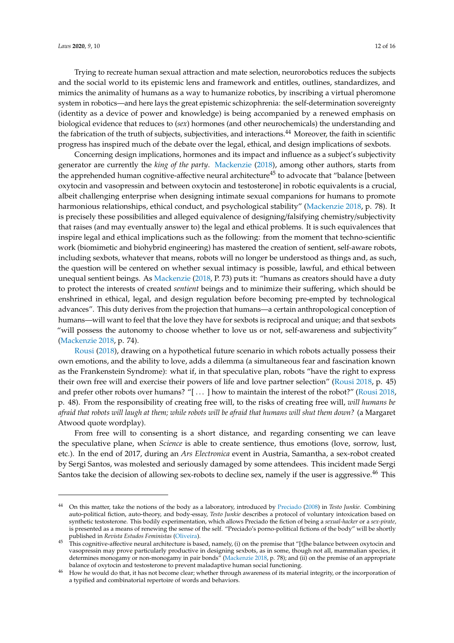Trying to recreate human sexual attraction and mate selection, neurorobotics reduces the subjects and the social world to its epistemic lens and framework and entitles, outlines, standardizes, and

mimics the animality of humans as a way to humanize robotics, by inscribing a virtual pheromone system in robotics—and here lays the great epistemic schizophrenia: the self-determination sovereignty (identity as a device of power and knowledge) is being accompanied by a renewed emphasis on biological evidence that reduces to (*sex*) hormones (and other neurochemicals) the understanding and the fabrication of the truth of subjects, subjectivities, and interactions.<sup>44</sup> Moreover, the faith in scientific progress has inspired much of the debate over the legal, ethical, and design implications of sexbots.

Concerning design implications, hormones and its impact and influence as a subject's subjectivity generator are currently the *king of the party*. [Mackenzie](#page-15-15) [\(2018\)](#page-15-15), among other authors, starts from the apprehended human cognitive-affective neural architecture<sup>45</sup> to advocate that "balance [between oxytocin and vasopressin and between oxytocin and testosterone] in robotic equivalents is a crucial, albeit challenging enterprise when designing intimate sexual companions for humans to promote harmonious relationships, ethical conduct, and psychological stability" [\(Mackenzie](#page-15-15) [2018,](#page-15-15) p. 78). It is precisely these possibilities and alleged equivalence of designing/falsifying chemistry/subjectivity that raises (and may eventually answer to) the legal and ethical problems. It is such equivalences that inspire legal and ethical implications such as the following: from the moment that techno-scientific work (biomimetic and biohybrid engineering) has mastered the creation of sentient, self-aware robots, including sexbots, whatever that means, robots will no longer be understood as things and, as such, the question will be centered on whether sexual intimacy is possible, lawful, and ethical between unequal sentient beings. As [Mackenzie](#page-15-15) [\(2018,](#page-15-15) P. 73) puts it: "humans as creators should have a duty to protect the interests of created *sentient* beings and to minimize their suffering, which should be enshrined in ethical, legal, and design regulation before becoming pre-empted by technological advances". This duty derives from the projection that humans—a certain anthropological conception of humans—will want to feel that the love they have for sexbots is reciprocal and unique; and that sexbots "will possess the autonomy to choose whether to love us or not, self-awareness and subjectivity" [\(Mackenzie](#page-15-15) [2018,](#page-15-15) p. 74).

[Rousi](#page-15-16) [\(2018\)](#page-15-16), drawing on a hypothetical future scenario in which robots actually possess their own emotions, and the ability to love, adds a dilemma (a simultaneous fear and fascination known as the Frankenstein Syndrome): what if, in that speculative plan, robots "have the right to express their own free will and exercise their powers of life and love partner selection" [\(Rousi](#page-15-16) [2018,](#page-15-16) p. 45) and prefer other robots over humans? "[...] how to maintain the interest of the robot?" [\(Rousi](#page-15-16) [2018,](#page-15-16) p. 48). From the responsibility of creating free will, to the risks of creating free will, *will humans be afraid that robots will laugh at them; while robots will be afraid that humans will shut them down?* (a Margaret Atwood quote wordplay).

From free will to consenting is a short distance, and regarding consenting we can leave the speculative plane, when *Science* is able to create sentience, thus emotions (love, sorrow, lust, etc.). In the end of 2017, during an *Ars Electronica* event in Austria, Samantha, a sex-robot created by Sergi Santos, was molested and seriously damaged by some attendees. This incident made Sergi Santos take the decision of allowing sex-robots to decline sex, namely if the user is aggressive.<sup>46</sup> This

<sup>44</sup> On this matter, take the notions of the body as a laboratory, introduced by [Preciado](#page-15-1) [\(2008\)](#page-15-1) in *Testo Junkie*. Combining auto-political fiction, auto-theory, and body-essay, *Testo Junkie* describes a protocol of voluntary intoxication based on synthetic testosterone. This bodily experimentation, which allows Preciado the fiction of being a *sexual-hacker* or a *sex-pirate*, is presented as a means of renewing the sense of the self. "Preciado's porno-political fictions of the body" will be shortly published in *Revista Estudos Feministas* [\(Oliveira\)](#page-15-17).

 $45$  This cognitive-affective neural architecture is based, namely, (i) on the premise that "[t]he balance between oxytocin and vasopressin may prove particularly productive in designing sexbots, as in some, though not all, mammalian species, it determines monogamy or non-monogamy in pair bonds" [\(Mackenzie](#page-15-15) [2018,](#page-15-15) p. 78); and (ii) on the premise of an appropriate balance of oxytocin and testosterone to prevent maladaptive human social functioning.

<sup>46</sup> How he would do that, it has not become clear; whether through awareness of its material integrity, or the incorporation of a typified and combinatorial repertoire of words and behaviors.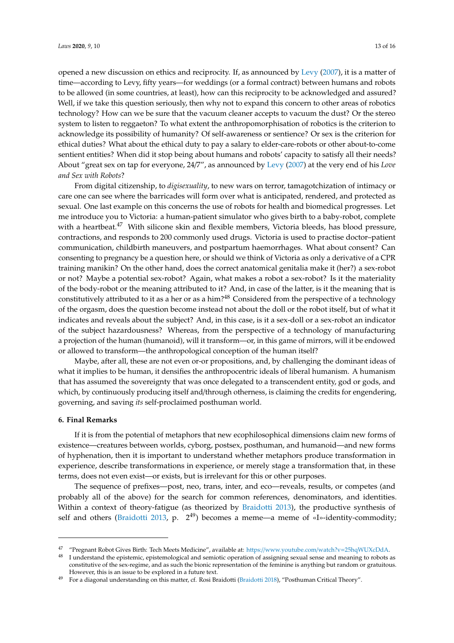opened a new discussion on ethics and reciprocity. If, as announced by [Levy](#page-15-7) [\(2007\)](#page-15-7), it is a matter of time—according to Levy, fifty years—for weddings (or a formal contract) between humans and robots to be allowed (in some countries, at least), how can this reciprocity to be acknowledged and assured? Well, if we take this question seriously, then why not to expand this concern to other areas of robotics technology? How can we be sure that the vacuum cleaner accepts to vacuum the dust? Or the stereo system to listen to reggaeton? To what extent the anthropomorphisation of robotics is the criterion to acknowledge its possibility of humanity? Of self-awareness or sentience? Or sex is the criterion for ethical duties? What about the ethical duty to pay a salary to elder-care-robots or other about-to-come sentient entities? When did it stop being about humans and robots' capacity to satisfy all their needs? About "great sex on tap for everyone, 24/7", as announced by [Levy](#page-15-7) [\(2007\)](#page-15-7) at the very end of his *Love and Sex with Robots*?

From digital citizenship, to *digisexuality*, to new wars on terror, tamagotchization of intimacy or care one can see where the barricades will form over what is anticipated, rendered, and protected as sexual. One last example on this concerns the use of robots for health and biomedical progresses. Let me introduce you to Victoria: a human-patient simulator who gives birth to a baby-robot, complete with a heartbeat.<sup>47</sup> With silicone skin and flexible members, Victoria bleeds, has blood pressure, contractions, and responds to 200 commonly used drugs. Victoria is used to practise doctor–patient communication, childbirth maneuvers, and postpartum haemorrhages. What about consent? Can consenting to pregnancy be a question here, or should we think of Victoria as only a derivative of a CPR training manikin? On the other hand, does the correct anatomical genitalia make it (her?) a sex-robot or not? Maybe a potential sex-robot? Again, what makes a robot a sex-robot? Is it the materiality of the body-robot or the meaning attributed to it? And, in case of the latter, is it the meaning that is constitutively attributed to it as a her or as a him?<sup>48</sup> Considered from the perspective of a technology of the orgasm, does the question become instead not about the doll or the robot itself, but of what it indicates and reveals about the subject? And, in this case, is it a sex-doll or a sex-robot an indicator of the subject hazardousness? Whereas, from the perspective of a technology of manufacturing a projection of the human (humanoid), will it transform—or, in this game of mirrors, will it be endowed or allowed to transform—the anthropological conception of the human itself?

Maybe, after all, these are not even or-or propositions, and, by challenging the dominant ideas of what it implies to be human, it densifies the anthropocentric ideals of liberal humanism. A humanism that has assumed the sovereignty that was once delegated to a transcendent entity, god or gods, and which, by continuously producing itself and/through otherness, is claiming the credits for engendering, governing, and saving *its* self-proclaimed posthuman world.

## **6. Final Remarks**

If it is from the potential of metaphors that new ecophilosophical dimensions claim new forms of existence—creatures between worlds, cyborg, postsex, posthuman, and humanoid—and new forms of hyphenation, then it is important to understand whether metaphors produce transformation in experience, describe transformations in experience, or merely stage a transformation that, in these terms, does not even exist—or exists, but is irrelevant for this or other purposes.

The sequence of prefixes—post, neo, trans, inter, and eco—reveals, results, or competes (and probably all of the above) for the search for common references, denominators, and identities. Within a context of theory-fatigue (as theorized by [Braidotti](#page-14-17) [2013\)](#page-14-17), the productive synthesis of self and others [\(Braidotti](#page-14-17) [2013,](#page-14-17) p.  $2^{49}$ ) becomes a meme—a meme of «I»-identity-commodity;

<sup>&</sup>lt;sup>47</sup> "Pregnant Robot Gives Birth: Tech Meets Medicine", available at: https://[www.youtube.com](https://www.youtube.com/watch?v=25hqWUXcDdA)/watch?v=25hqWUXcDdA.<br><sup>48</sup> I understand the enistemic enistemological and semiotic operation of assigning sexual sense and meani

<sup>48</sup> I understand the epistemic, epistemological and semiotic operation of assigning sexual sense and meaning to robots as constitutive of the sex-regime, and as such the bionic representation of the feminine is anything but random or gratuitous. However, this is an issue to be explored in a future text.

<sup>49</sup> For a diagonal understanding on this matter, cf. Rosi Braidotti [\(Braidotti](#page-14-10) [2018\)](#page-14-10), "Posthuman Critical Theory".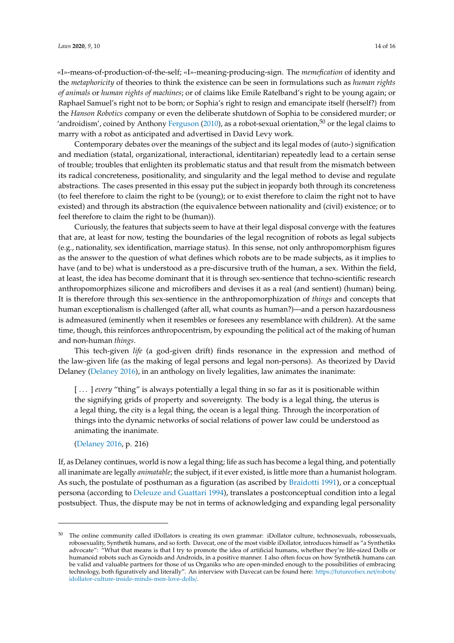«I»-means-of-production-of-the-self; «I»-meaning-producing-sign. The *memefication* of identity and the *metaphoricity* of theories to think the existence can be seen in formulations such as *human rights of animals* or *human rights of machines*; or of claims like Emile Ratelband's right to be young again; or Raphael Samuel's right not to be born; or Sophia's right to resign and emancipate itself (herself?) from the *Hanson Robotics* company or even the deliberate shutdown of Sophia to be considered murder; or 'androidism', coined by Anthony [Ferguson](#page-14-11) [\(2010\)](#page-14-11), as a robot-sexual orientation, $50$  or the legal claims to marry with a robot as anticipated and advertised in David Levy work.

Contemporary debates over the meanings of the subject and its legal modes of (auto-) signification and mediation (statal, organizational, interactional, identitarian) repeatedly lead to a certain sense of trouble; troubles that enlighten its problematic status and that result from the mismatch between its radical concreteness, positionality, and singularity and the legal method to devise and regulate abstractions. The cases presented in this essay put the subject in jeopardy both through its concreteness (to feel therefore to claim the right to be (young); or to exist therefore to claim the right not to have existed) and through its abstraction (the equivalence between nationality and (civil) existence; or to feel therefore to claim the right to be (human)).

Curiously, the features that subjects seem to have at their legal disposal converge with the features that are, at least for now, testing the boundaries of the legal recognition of robots as legal subjects (e.g., nationality, sex identification, marriage status). In this sense, not only anthropomorphism figures as the answer to the question of what defines which robots are to be made subjects, as it implies to have (and to be) what is understood as a pre-discursive truth of the human, a sex. Within the field, at least, the idea has become dominant that it is through sex-sentience that techno-scientific research anthropomorphizes silicone and microfibers and devises it as a real (and sentient) (human) being. It is therefore through this sex-sentience in the anthropomorphization of *things* and concepts that human exceptionalism is challenged (after all, what counts as human?)—and a person hazardousness is admeasured (eminently when it resembles or foresees any resemblance with children). At the same time, though, this reinforces anthropocentrism, by expounding the political act of the making of human and non-human *things*.

This tech-given *life* (a god-given drift) finds resonance in the expression and method of the law-given life (as the making of legal persons and legal non-persons). As theorized by David Delaney [\(Delaney](#page-14-18) [2016\)](#page-14-18), in an anthology on lively legalities, law animates the inanimate:

[...] *every* "thing" is always potentially a legal thing in so far as it is positionable within the signifying grids of property and sovereignty. The body is a legal thing, the uterus is a legal thing, the city is a legal thing, the ocean is a legal thing. Through the incorporation of things into the dynamic networks of social relations of power law could be understood as animating the inanimate.

[\(Delaney](#page-14-18) [2016,](#page-14-18) p. 216)

If, as Delaney continues, world is now a legal thing; life as such has become a legal thing, and potentially all inanimate are legally *animatable*; the subject, if it ever existed, is little more than a humanist hologram. As such, the postulate of posthuman as a figuration (as ascribed by [Braidotti](#page-14-19) [1991\)](#page-14-19), or a conceptual persona (according to [Deleuze and Guattari](#page-14-20) [1994\)](#page-14-20), translates a postconceptual condition into a legal postsubject. Thus, the dispute may be not in terms of acknowledging and expanding legal personality

The online community called iDollators is creating its own grammar: iDollator culture, technosexuals, robossexuals, robosexuality, Synthetik humans, and so forth. Davecat, one of the most visible iDollator, introduces himself as "a Synthetiks advocate": "What that means is that I try to promote the idea of artificial humans, whether they're life-sized Dolls or humanoid robots such as Gynoids and Androids, in a positive manner. I also often focus on how Synthetik humans can be valid and valuable partners for those of us Organiks who are open-minded enough to the possibilities of embracing technology, both figuratively and literally". An interview with Davecat can be found here: https://[futureofsex.net](https://futureofsex.net/robots/idollator-culture-inside-minds-men-love-dolls/)/robots/ [idollator-culture-inside-minds-men-love-dolls](https://futureofsex.net/robots/idollator-culture-inside-minds-men-love-dolls/)/.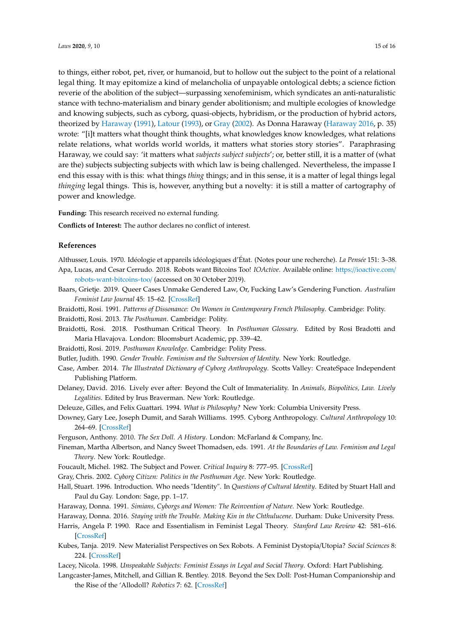to things, either robot, pet, river, or humanoid, but to hollow out the subject to the point of a relational legal thing. It may epitomize a kind of melancholia of unpayable ontological debts; a science fiction reverie of the abolition of the subject—surpassing xenofeminism, which syndicates an anti-naturalistic stance with techno-materialism and binary gender abolitionism; and multiple ecologies of knowledge and knowing subjects, such as cyborg, quasi-objects, hybridism, or the production of hybrid actors, theorized by [Haraway](#page-14-9) [\(1991\)](#page-14-9), [Latour](#page-15-18) [\(1993\)](#page-15-18), or [Gray](#page-14-21) [\(2002\)](#page-14-21). As Donna Haraway [\(Haraway](#page-14-22) [2016,](#page-14-22) p. 35) wrote: "[i]t matters what thought think thoughts, what knowledges know knowledges, what relations relate relations, what worlds world worlds, it matters what stories story stories". Paraphrasing Haraway, we could say: 'it matters what *subjects subject subjects*'; or, better still, it is a matter of (what are the) subjects subjecting subjects with which law is being challenged. Nevertheless, the impasse I end this essay with is this: what things *thing* things; and in this sense, it is a matter of legal things legal *thinging* legal things. This is, however, anything but a novelty: it is still a matter of cartography of power and knowledge.

**Funding:** This research received no external funding.

**Conflicts of Interest:** The author declares no conflict of interest.

#### **References**

<span id="page-14-12"></span><span id="page-14-1"></span>Althusser, Louis. 1970. Idéologie et appareils idéologiques d'État. (Notes pour une recherche). *La Pensée* 151: 3–38. Apa, Lucas, and Cesar Cerrudo. 2018. Robots want Bitcoins Too! *IOActive*. Available online: https://[ioactive.com](https://ioactive.com/robots-want-bitcoins-too/)/ [robots-want-bitcoins-too](https://ioactive.com/robots-want-bitcoins-too/)/ (accessed on 30 October 2019).

- <span id="page-14-4"></span>Baars, Grietje. 2019. Queer Cases Unmake Gendered Law, Or, Fucking Law's Gendering Function. *Australian Feminist Law Journal* 45: 15–62. [\[CrossRef\]](http://dx.doi.org/10.1080/13200968.2019.1667777)
- <span id="page-14-19"></span>Braidotti, Rosi. 1991. *Patterns of Dissonance: On Women in Contemporary French Philosophy*. Cambridge: Polity.

<span id="page-14-17"></span>Braidotti, Rosi. 2013. *The Posthuman*. Cambridge: Polity.

- <span id="page-14-10"></span>Braidotti, Rosi. 2018. Posthuman Critical Theory. In *Posthuman Glossary*. Edited by Rosi Bradotti and Maria Hlavajova. London: Bloomsburt Academic, pp. 339–42.
- <span id="page-14-7"></span>Braidotti, Rosi. 2019. *Posthuman Knowledge*. Cambridge: Polity Press.
- <span id="page-14-0"></span>Butler, Judith. 1990. *Gender Trouble. Feminism and the Subversion of Identity*. New York: Routledge.
- <span id="page-14-14"></span>Case, Amber. 2014. *The Illustrated Dictionary of Cyborg Anthropology*. Scotts Valley: CreateSpace Independent Publishing Platform.
- <span id="page-14-18"></span>Delaney, David. 2016. Lively ever after: Beyond the Cult of Immateriality. In *Animals, Biopolitics, Law. Lively Legalities*. Edited by Irus Braverman. New York: Routledge.

<span id="page-14-20"></span>Deleuze, Gilles, and Felix Guattari. 1994. *What is Philosophy?* New York: Columbia University Press.

<span id="page-14-13"></span>Downey, Gary Lee, Joseph Dumit, and Sarah Williams. 1995. Cyborg Anthropology. *Cultural Anthropology* 10: 264–69. [\[CrossRef\]](http://dx.doi.org/10.1525/can.1995.10.2.02a00060)

<span id="page-14-11"></span>Ferguson, Anthony. 2010. *The Sex Doll. A History*. London: McFarland & Company, Inc.

- <span id="page-14-2"></span>Fineman, Martha Albertson, and Nancy Sweet Thomadsen, eds. 1991. *At the Boundaries of Law. Feminism and Legal Theory*. New York: Routledge.
- <span id="page-14-6"></span>Foucault, Michel. 1982. The Subject and Power. *Critical Inquiry* 8: 777–95. [\[CrossRef\]](http://dx.doi.org/10.1086/448181)
- <span id="page-14-21"></span><span id="page-14-5"></span>Gray, Chris. 2002. *Cyborg Citizen: Politics in the Posthuman Age*. New York: Routledge.
- Hall, Stuart. 1996. Introduction. Who needs "Identity". In *Questions of Cultural Identity*. Edited by Stuart Hall and Paul du Gay. London: Sage, pp. 1–17.
- <span id="page-14-9"></span>Haraway, Donna. 1991. *Simians, Cyborgs and Women: The Reinvention of Nature*. New York: Routledge.
- <span id="page-14-22"></span>Haraway, Donna. 2016. *Staying with the Trouble. Making Kin in the Chthulucene*. Durham: Duke University Press.
- <span id="page-14-3"></span>Harris, Angela P. 1990. Race and Essentialism in Feminist Legal Theory. *Stanford Law Review* 42: 581–616. [\[CrossRef\]](http://dx.doi.org/10.2307/1228886)
- <span id="page-14-16"></span>Kubes, Tanja. 2019. New Materialist Perspectives on Sex Robots. A Feminist Dystopia/Utopia? *Social Sciences* 8: 224. [\[CrossRef\]](http://dx.doi.org/10.3390/socsci8080224)
- <span id="page-14-8"></span>Lacey, Nicola. 1998. *Unspeakable Subjects: Feminist Essays in Legal and Social Theory*. Oxford: Hart Publishing.
- <span id="page-14-15"></span>Langcaster-James, Mitchell, and Gillian R. Bentley. 2018. Beyond the Sex Doll: Post-Human Companionship and the Rise of the 'Allodoll? *Robotics* 7: 62. [\[CrossRef\]](http://dx.doi.org/10.3390/robotics7040062)